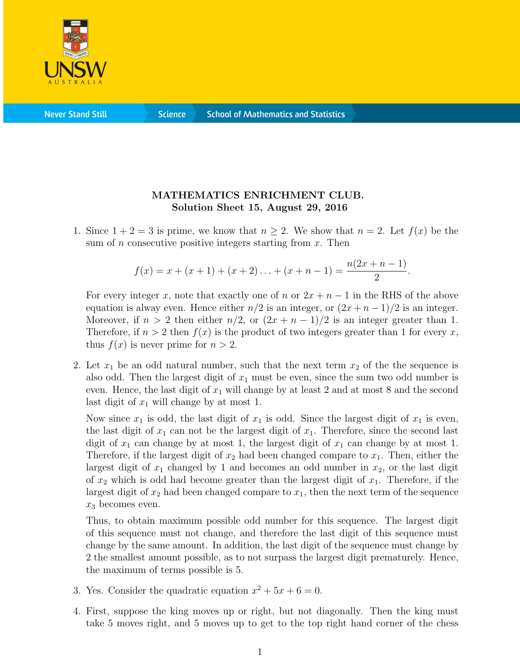

**Science** 

## MATHEMATICS ENRICHMENT CLUB. Solution Sheet 15, August 29, 2016

1. Since  $1 + 2 = 3$  is prime, we know that  $n \geq 2$ . We show that  $n = 2$ . Let  $f(x)$  be the sum of n consecutive positive integers starting from  $x$ . Then

$$
f(x) = x + (x + 1) + (x + 2) \ldots + (x + n - 1) = \frac{n(2x + n - 1)}{2}.
$$

For every integer x, note that exactly one of n or  $2x + n - 1$  in the RHS of the above equation is alway even. Hence either  $n/2$  is an integer, or  $(2x + n - 1)/2$  is an integer. Moreover, if  $n > 2$  then either  $n/2$ , or  $(2x + n - 1)/2$  is an integer greater than 1. Therefore, if  $n > 2$  then  $f(x)$  is the product of two integers greater than 1 for every x, thus  $f(x)$  is never prime for  $n > 2$ .

2. Let  $x_1$  be an odd natural number, such that the next term  $x_2$  of the the sequence is also odd. Then the largest digit of  $x_1$  must be even, since the sum two odd number is even. Hence, the last digit of  $x_1$  will change by at least 2 and at most 8 and the second last digit of  $x_1$  will change by at most 1.

Now since  $x_1$  is odd, the last digit of  $x_1$  is odd. Since the largest digit of  $x_1$  is even, the last digit of  $x_1$  can not be the largest digit of  $x_1$ . Therefore, since the second last digit of  $x_1$  can change by at most 1, the largest digit of  $x_1$  can change by at most 1. Therefore, if the largest digit of  $x_2$  had been changed compare to  $x_1$ . Then, either the largest digit of  $x_1$  changed by 1 and becomes an odd number in  $x_2$ , or the last digit of  $x_2$  which is odd had become greater than the largest digit of  $x_1$ . Therefore, if the largest digit of  $x_2$  had been changed compare to  $x_1$ , then the next term of the sequence  $x_3$  becomes even.

Thus, to obtain maximum possible odd number for this sequence. The largest digit of this sequence must not change, and therefore the last digit of this sequence must change by the same amount. In addition, the last digit of the sequence must change by 2 the smallest amount possible, as to not surpass the largest digit prematurely. Hence, the maximum of terms possible is 5.

- 3. Yes. Consider the quadratic equation  $x^2 + 5x + 6 = 0$ .
- 4. First, suppose the king moves up or right, but not diagonally. Then the king must take 5 moves right, and 5 moves up to get to the top right hand corner of the chess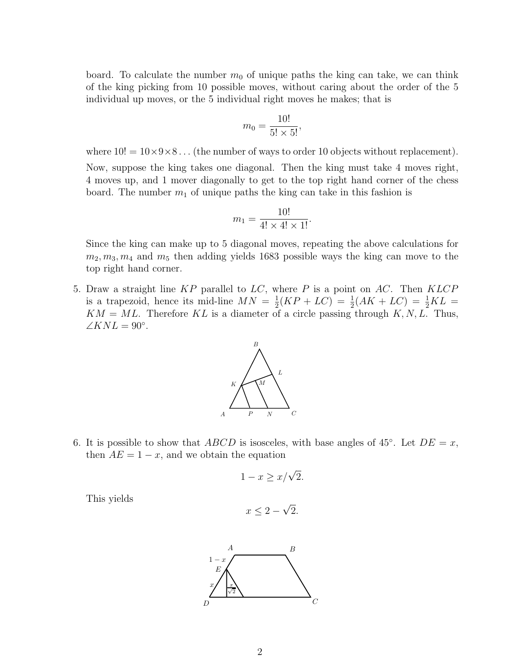board. To calculate the number  $m_0$  of unique paths the king can take, we can think of the king picking from 10 possible moves, without caring about the order of the 5 individual up moves, or the 5 individual right moves he makes; that is

$$
m_0 = \frac{10!}{5! \times 5!},
$$

where  $10! = 10 \times 9 \times 8...$  (the number of ways to order 10 objects without replacement).

Now, suppose the king takes one diagonal. Then the king must take 4 moves right, 4 moves up, and 1 mover diagonally to get to the top right hand corner of the chess board. The number  $m_1$  of unique paths the king can take in this fashion is

$$
m_1 = \frac{10!}{4! \times 4! \times 1!}.
$$

Since the king can make up to 5 diagonal moves, repeating the above calculations for  $m_2, m_3, m_4$  and  $m_5$  then adding yields 1683 possible ways the king can move to the top right hand corner.

5. Draw a straight line  $KP$  parallel to  $LC$ , where P is a point on  $AC$ . Then  $KLCP$ is a trapezoid, hence its mid-line  $MN = \frac{1}{2}$  $\frac{1}{2}(KP + LC) = \frac{1}{2}(AK + LC) = \frac{1}{2}KL =$  $KM = ML$ . Therefore KL is a diameter of a circle passing through K, N, L. Thus,  $\angle KNL = 90^\circ.$ 



6. It is possible to show that ABCD is isosceles, with base angles of 45°. Let  $DE = x$ , then  $AE = 1 - x$ , and we obtain the equation

$$
1 - x \ge x/\sqrt{2}.
$$

This yields

$$
x \le 2 - \sqrt{2}.
$$